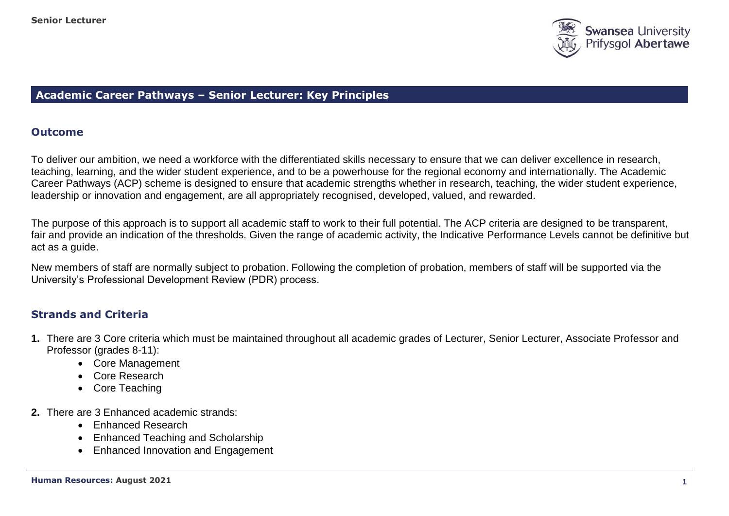

# **Academic Career Pathways – Senior Lecturer: Key Principles**

## **Outcome**

To deliver our ambition, we need a workforce with the differentiated skills necessary to ensure that we can deliver excellence in research, teaching, learning, and the wider student experience, and to be a powerhouse for the regional economy and internationally. The Academic Career Pathways (ACP) scheme is designed to ensure that academic strengths whether in research, teaching, the wider student experience, leadership or innovation and engagement, are all appropriately recognised, developed, valued, and rewarded.

The purpose of this approach is to support all academic staff to work to their full potential. The ACP criteria are designed to be transparent, fair and provide an indication of the thresholds. Given the range of academic activity, the Indicative Performance Levels cannot be definitive but act as a guide.

New members of staff are normally subject to probation. Following the completion of probation, members of staff will be supported via the University's Professional Development Review (PDR) process.

# **Strands and Criteria**

- **1.** There are 3 Core criteria which must be maintained throughout all academic grades of Lecturer, Senior Lecturer, Associate Professor and Professor (grades 8-11):
	- Core Management
	- Core Research
	- Core Teaching
- **2.** There are 3 Enhanced academic strands:
	- Enhanced Research
	- Enhanced Teaching and Scholarship
	- Enhanced Innovation and Engagement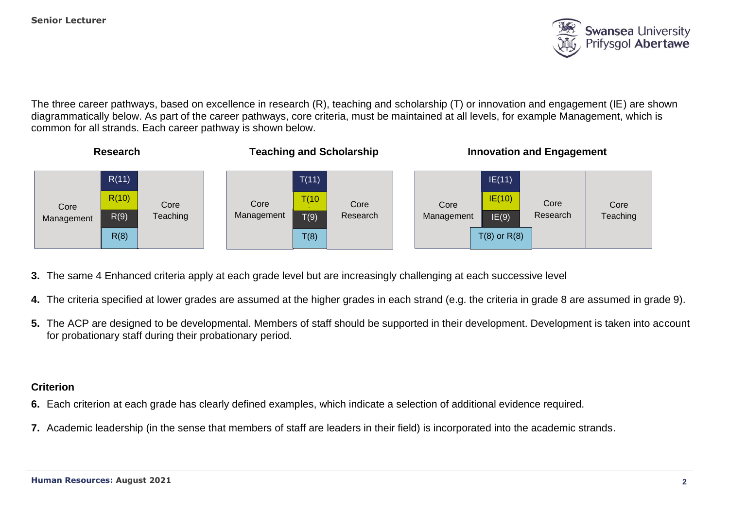

The three career pathways, based on excellence in research (R), teaching and scholarship (T) or innovation and engagement (IE) are shown diagrammatically below. As part of the career pathways, core criteria, must be maintained at all levels, for example Management, which is common for all strands. Each career pathway is shown below.



- **3.** The same 4 Enhanced criteria apply at each grade level but are increasingly challenging at each successive level
- **4.** The criteria specified at lower grades are assumed at the higher grades in each strand (e.g. the criteria in grade 8 are assumed in grade 9).
- **5.** The ACP are designed to be developmental. Members of staff should be supported in their development. Development is taken into account for probationary staff during their probationary period.

## **Criterion**

- **6.** Each criterion at each grade has clearly defined examples, which indicate a selection of additional evidence required.
- **7.** Academic leadership (in the sense that members of staff are leaders in their field) is incorporated into the academic strands.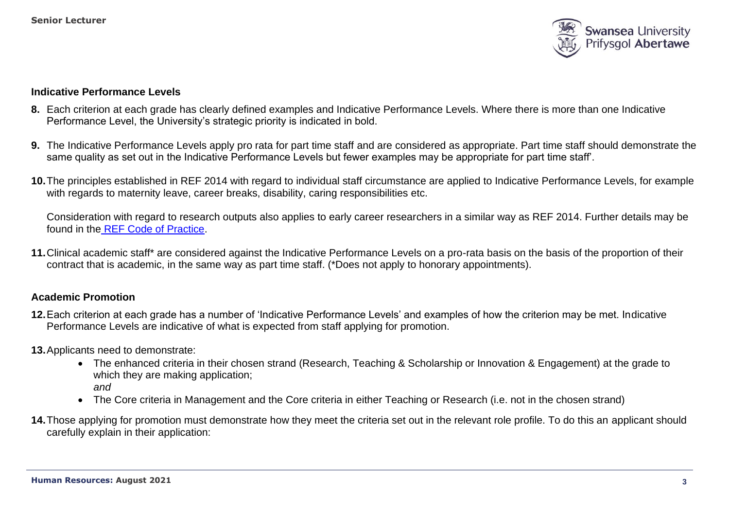

#### **Indicative Performance Levels**

- **8.** Each criterion at each grade has clearly defined examples and Indicative Performance Levels. Where there is more than one Indicative Performance Level, the University's strategic priority is indicated in bold.
- **9.** The Indicative Performance Levels apply pro rata for part time staff and are considered as appropriate. Part time staff should demonstrate the same quality as set out in the Indicative Performance Levels but fewer examples may be appropriate for part time staff'.
- **10.**The principles established in REF 2014 with regard to individual staff circumstance are applied to Indicative Performance Levels, for example with regards to maternity leave, career breaks, disability, caring responsibilities etc.

Consideration with regard to research outputs also applies to early career researchers in a similar way as REF 2014. Further details may be found in the [REF Code of Practice.](https://collaborate.swan.ac.uk/staff/projects/ref2015/SitePages/Home.aspx?RootFolder=%2Fstaff%2Fprojects%2Fref2015%2FShared%20Documents%2FInterim%20Code%20of%20Practice&FolderCTID=0x012000139FED14E093C94AB30ACC07EB68EE04&View=%7b72FCCC2E-4AD6-4F87-B278-20942BE53F44%7d)

**11.**Clinical academic staff\* are considered against the Indicative Performance Levels on a pro-rata basis on the basis of the proportion of their contract that is academic, in the same way as part time staff. (\*Does not apply to honorary appointments).

## **Academic Promotion**

- **12.**Each criterion at each grade has a number of 'Indicative Performance Levels' and examples of how the criterion may be met. Indicative Performance Levels are indicative of what is expected from staff applying for promotion.
- **13.**Applicants need to demonstrate:
	- The enhanced criteria in their chosen strand (Research, Teaching & Scholarship or Innovation & Engagement) at the grade to which they are making application; *and*
	- The Core criteria in Management and the Core criteria in either Teaching or Research (i.e. not in the chosen strand)
- **14.**Those applying for promotion must demonstrate how they meet the criteria set out in the relevant role profile. To do this an applicant should carefully explain in their application: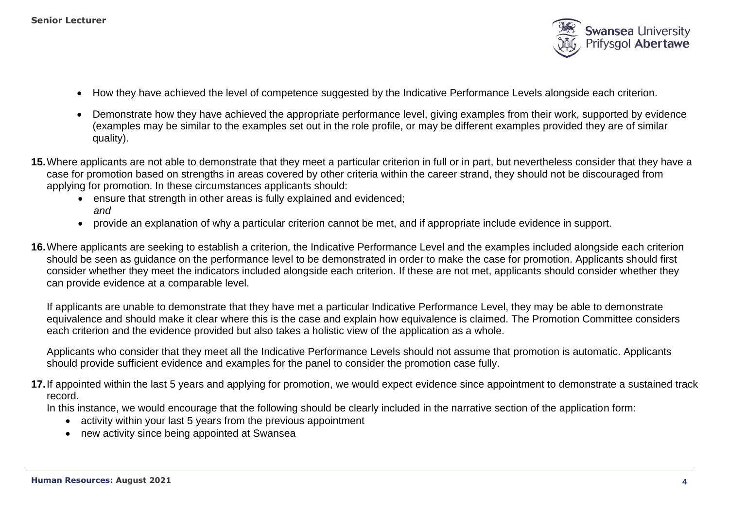

- How they have achieved the level of competence suggested by the Indicative Performance Levels alongside each criterion.
- Demonstrate how they have achieved the appropriate performance level, giving examples from their work, supported by evidence (examples may be similar to the examples set out in the role profile, or may be different examples provided they are of similar quality).
- **15.**Where applicants are not able to demonstrate that they meet a particular criterion in full or in part, but nevertheless consider that they have a case for promotion based on strengths in areas covered by other criteria within the career strand, they should not be discouraged from applying for promotion. In these circumstances applicants should:
	- ensure that strength in other areas is fully explained and evidenced: *and*
	- provide an explanation of why a particular criterion cannot be met, and if appropriate include evidence in support.
- **16.**Where applicants are seeking to establish a criterion, the Indicative Performance Level and the examples included alongside each criterion should be seen as guidance on the performance level to be demonstrated in order to make the case for promotion. Applicants should first consider whether they meet the indicators included alongside each criterion. If these are not met, applicants should consider whether they can provide evidence at a comparable level.

If applicants are unable to demonstrate that they have met a particular Indicative Performance Level, they may be able to demonstrate equivalence and should make it clear where this is the case and explain how equivalence is claimed. The Promotion Committee considers each criterion and the evidence provided but also takes a holistic view of the application as a whole.

Applicants who consider that they meet all the Indicative Performance Levels should not assume that promotion is automatic. Applicants should provide sufficient evidence and examples for the panel to consider the promotion case fully.

**17.**If appointed within the last 5 years and applying for promotion, we would expect evidence since appointment to demonstrate a sustained track record.

In this instance, we would encourage that the following should be clearly included in the narrative section of the application form:

- activity within your last 5 years from the previous appointment
- new activity since being appointed at Swansea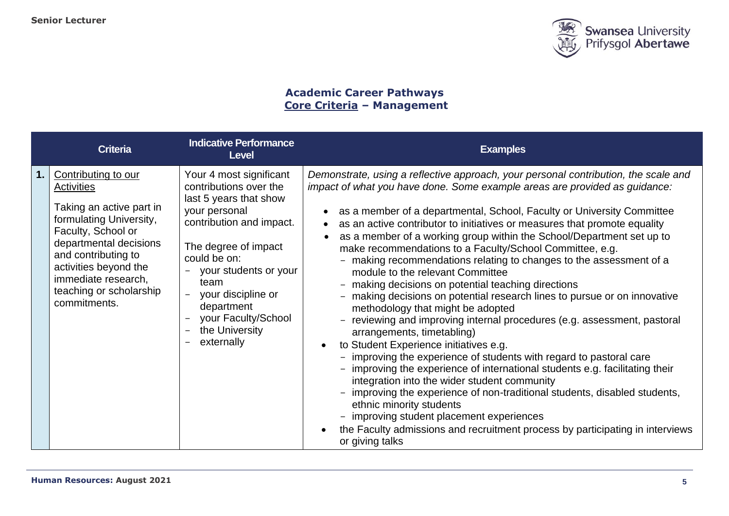

# **Academic Career Pathways Core Criteria – Management**

|    | <b>Criteria</b>                                                                                                                                                                                                                                                   | <b>Indicative Performance</b><br><b>Level</b>                                                                                                                                                                                                                                                                | <b>Examples</b>                                                                                                                                                                                                                                                                                                                                                                                                                                                                                                                                                                                                                                                                                                                                                                                                                                                                                                                                                                                                                                                                                                                                                                                                                                                                                                                                                                  |
|----|-------------------------------------------------------------------------------------------------------------------------------------------------------------------------------------------------------------------------------------------------------------------|--------------------------------------------------------------------------------------------------------------------------------------------------------------------------------------------------------------------------------------------------------------------------------------------------------------|----------------------------------------------------------------------------------------------------------------------------------------------------------------------------------------------------------------------------------------------------------------------------------------------------------------------------------------------------------------------------------------------------------------------------------------------------------------------------------------------------------------------------------------------------------------------------------------------------------------------------------------------------------------------------------------------------------------------------------------------------------------------------------------------------------------------------------------------------------------------------------------------------------------------------------------------------------------------------------------------------------------------------------------------------------------------------------------------------------------------------------------------------------------------------------------------------------------------------------------------------------------------------------------------------------------------------------------------------------------------------------|
| 1. | Contributing to our<br><b>Activities</b><br>Taking an active part in<br>formulating University,<br>Faculty, School or<br>departmental decisions<br>and contributing to<br>activities beyond the<br>immediate research,<br>teaching or scholarship<br>commitments. | Your 4 most significant<br>contributions over the<br>last 5 years that show<br>your personal<br>contribution and impact.<br>The degree of impact<br>could be on:<br>your students or your<br>Ξ.<br>team<br>your discipline or<br>department<br>your Faculty/School<br>the University<br>-<br>externally<br>- | Demonstrate, using a reflective approach, your personal contribution, the scale and<br>impact of what you have done. Some example areas are provided as guidance:<br>as a member of a departmental, School, Faculty or University Committee<br>as an active contributor to initiatives or measures that promote equality<br>as a member of a working group within the School/Department set up to<br>make recommendations to a Faculty/School Committee, e.g.<br>- making recommendations relating to changes to the assessment of a<br>module to the relevant Committee<br>- making decisions on potential teaching directions<br>making decisions on potential research lines to pursue or on innovative<br>methodology that might be adopted<br>- reviewing and improving internal procedures (e.g. assessment, pastoral<br>arrangements, timetabling)<br>to Student Experience initiatives e.g.<br>- improving the experience of students with regard to pastoral care<br>improving the experience of international students e.g. facilitating their<br>integration into the wider student community<br>- improving the experience of non-traditional students, disabled students,<br>ethnic minority students<br>- improving student placement experiences<br>the Faculty admissions and recruitment process by participating in interviews<br>$\bullet$<br>or giving talks |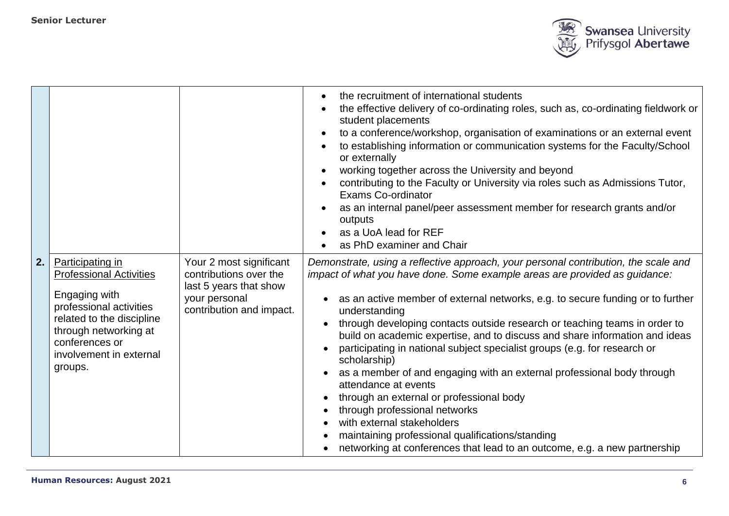

|    |                                                                                                                                                                                                                     |                                                                                                                          | the recruitment of international students<br>the effective delivery of co-ordinating roles, such as, co-ordinating fieldwork or<br>student placements<br>to a conference/workshop, organisation of examinations or an external event<br>to establishing information or communication systems for the Faculty/School<br>or externally<br>working together across the University and beyond<br>contributing to the Faculty or University via roles such as Admissions Tutor,<br>Exams Co-ordinator<br>as an internal panel/peer assessment member for research grants and/or<br>outputs<br>as a UoA lead for REF<br>as PhD examiner and Chair                                                                                                                                                                                                                                  |
|----|---------------------------------------------------------------------------------------------------------------------------------------------------------------------------------------------------------------------|--------------------------------------------------------------------------------------------------------------------------|------------------------------------------------------------------------------------------------------------------------------------------------------------------------------------------------------------------------------------------------------------------------------------------------------------------------------------------------------------------------------------------------------------------------------------------------------------------------------------------------------------------------------------------------------------------------------------------------------------------------------------------------------------------------------------------------------------------------------------------------------------------------------------------------------------------------------------------------------------------------------|
| 2. | <b>Participating in</b><br><b>Professional Activities</b><br>Engaging with<br>professional activities<br>related to the discipline<br>through networking at<br>conferences or<br>involvement in external<br>groups. | Your 2 most significant<br>contributions over the<br>last 5 years that show<br>your personal<br>contribution and impact. | Demonstrate, using a reflective approach, your personal contribution, the scale and<br>impact of what you have done. Some example areas are provided as guidance:<br>as an active member of external networks, e.g. to secure funding or to further<br>understanding<br>through developing contacts outside research or teaching teams in order to<br>build on academic expertise, and to discuss and share information and ideas<br>participating in national subject specialist groups (e.g. for research or<br>scholarship)<br>as a member of and engaging with an external professional body through<br>attendance at events<br>through an external or professional body<br>through professional networks<br>with external stakeholders<br>maintaining professional qualifications/standing<br>networking at conferences that lead to an outcome, e.g. a new partnership |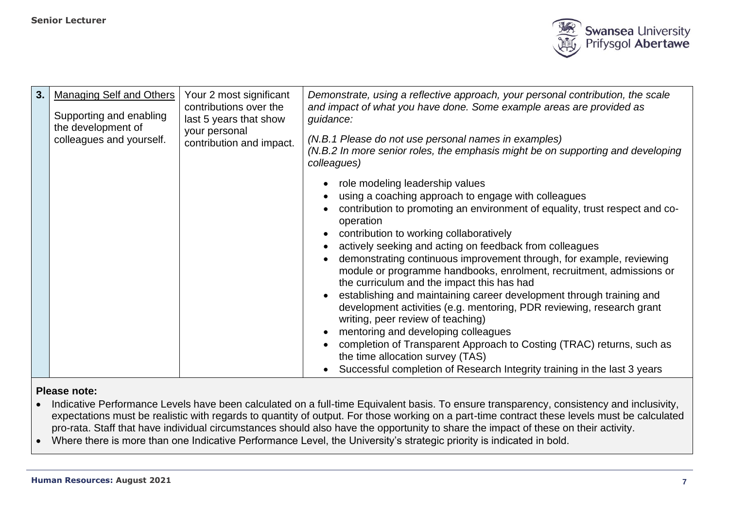

| 3. | <b>Managing Self and Others</b><br>Supporting and enabling<br>the development of | Your 2 most significant<br>contributions over the<br>last 5 years that show<br>your personal | Demonstrate, using a reflective approach, your personal contribution, the scale<br>and impact of what you have done. Some example areas are provided as<br>guidance:               |
|----|----------------------------------------------------------------------------------|----------------------------------------------------------------------------------------------|------------------------------------------------------------------------------------------------------------------------------------------------------------------------------------|
|    | colleagues and yourself.                                                         | contribution and impact.                                                                     | (N.B.1 Please do not use personal names in examples)<br>(N.B.2 In more senior roles, the emphasis might be on supporting and developing<br>colleagues)                             |
|    |                                                                                  |                                                                                              | role modeling leadership values<br>using a coaching approach to engage with colleagues                                                                                             |
|    |                                                                                  |                                                                                              | contribution to promoting an environment of equality, trust respect and co-<br>operation                                                                                           |
|    |                                                                                  |                                                                                              | contribution to working collaboratively                                                                                                                                            |
|    |                                                                                  |                                                                                              | actively seeking and acting on feedback from colleagues<br>demonstrating continuous improvement through, for example, reviewing                                                    |
|    |                                                                                  |                                                                                              | module or programme handbooks, enrolment, recruitment, admissions or<br>the curriculum and the impact this has had                                                                 |
|    |                                                                                  |                                                                                              | establishing and maintaining career development through training and<br>development activities (e.g. mentoring, PDR reviewing, research grant<br>writing, peer review of teaching) |
|    |                                                                                  |                                                                                              | mentoring and developing colleagues                                                                                                                                                |
|    |                                                                                  |                                                                                              | completion of Transparent Approach to Costing (TRAC) returns, such as<br>the time allocation survey (TAS)                                                                          |
|    |                                                                                  |                                                                                              | Successful completion of Research Integrity training in the last 3 years                                                                                                           |

- Indicative Performance Levels have been calculated on a full-time Equivalent basis. To ensure transparency, consistency and inclusivity, expectations must be realistic with regards to quantity of output. For those working on a part-time contract these levels must be calculated pro-rata. Staff that have individual circumstances should also have the opportunity to share the impact of these on their activity.
- Where there is more than one Indicative Performance Level, the University's strategic priority is indicated in bold.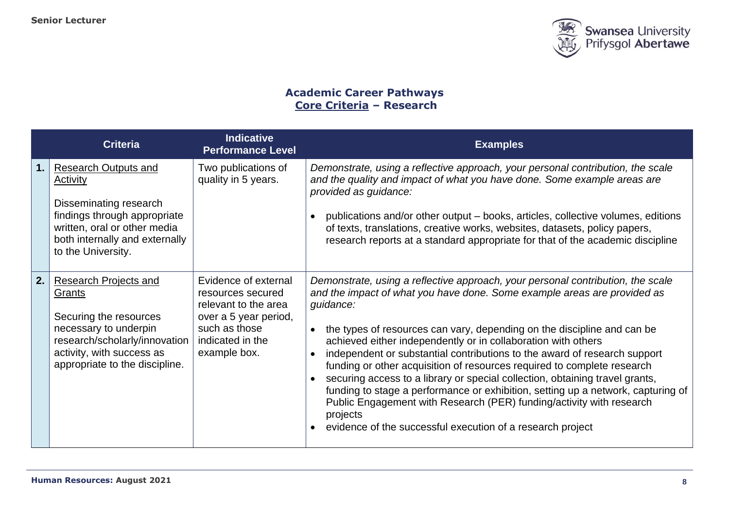

# **Academic Career Pathways Core Criteria – Research**

|    | <b>Criteria</b>                                                                                                                                                                           | <b>Indicative</b><br><b>Performance Level</b>                                                                                                   | <b>Examples</b>                                                                                                                                                                                                                                                                                                                                                                                                                                                                                                                                                                                                                                                                                                                                                                                                 |
|----|-------------------------------------------------------------------------------------------------------------------------------------------------------------------------------------------|-------------------------------------------------------------------------------------------------------------------------------------------------|-----------------------------------------------------------------------------------------------------------------------------------------------------------------------------------------------------------------------------------------------------------------------------------------------------------------------------------------------------------------------------------------------------------------------------------------------------------------------------------------------------------------------------------------------------------------------------------------------------------------------------------------------------------------------------------------------------------------------------------------------------------------------------------------------------------------|
| 1. | <b>Research Outputs and</b><br>Activity<br>Disseminating research<br>findings through appropriate<br>written, oral or other media<br>both internally and externally<br>to the University. | Two publications of<br>quality in 5 years.                                                                                                      | Demonstrate, using a reflective approach, your personal contribution, the scale<br>and the quality and impact of what you have done. Some example areas are<br>provided as guidance:<br>publications and/or other output – books, articles, collective volumes, editions<br>of texts, translations, creative works, websites, datasets, policy papers,<br>research reports at a standard appropriate for that of the academic discipline                                                                                                                                                                                                                                                                                                                                                                        |
| 2. | <b>Research Projects and</b><br>Grants<br>Securing the resources<br>necessary to underpin<br>research/scholarly/innovation<br>activity, with success as<br>appropriate to the discipline. | Evidence of external<br>resources secured<br>relevant to the area<br>over a 5 year period,<br>such as those<br>indicated in the<br>example box. | Demonstrate, using a reflective approach, your personal contribution, the scale<br>and the impact of what you have done. Some example areas are provided as<br>guidance:<br>the types of resources can vary, depending on the discipline and can be<br>achieved either independently or in collaboration with others<br>independent or substantial contributions to the award of research support<br>funding or other acquisition of resources required to complete research<br>securing access to a library or special collection, obtaining travel grants,<br>$\bullet$<br>funding to stage a performance or exhibition, setting up a network, capturing of<br>Public Engagement with Research (PER) funding/activity with research<br>projects<br>evidence of the successful execution of a research project |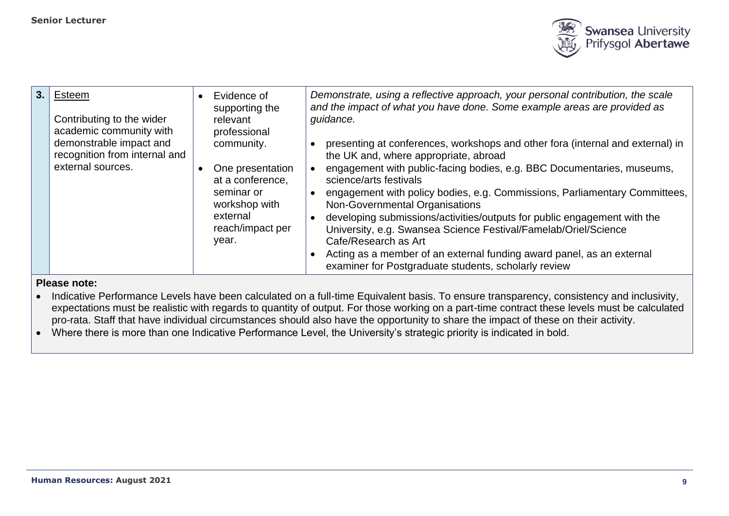

| 3.1 | Esteem<br>Contributing to the wider<br>academic community with<br>demonstrable impact and<br>recognition from internal and<br>external sources. | Evidence of<br>supporting the<br>relevant<br>professional<br>community.<br>One presentation<br>at a conference,<br>seminar or<br>workshop with<br>external<br>reach/impact per<br>year. | Demonstrate, using a reflective approach, your personal contribution, the scale<br>and the impact of what you have done. Some example areas are provided as<br>guidance.<br>presenting at conferences, workshops and other fora (internal and external) in<br>the UK and, where appropriate, abroad<br>engagement with public-facing bodies, e.g. BBC Documentaries, museums,<br>science/arts festivals<br>engagement with policy bodies, e.g. Commissions, Parliamentary Committees,<br>Non-Governmental Organisations<br>developing submissions/activities/outputs for public engagement with the<br>University, e.g. Swansea Science Festival/Famelab/Oriel/Science<br>Cafe/Research as Art<br>Acting as a member of an external funding award panel, as an external<br>examiner for Postgraduate students, scholarly review |
|-----|-------------------------------------------------------------------------------------------------------------------------------------------------|-----------------------------------------------------------------------------------------------------------------------------------------------------------------------------------------|---------------------------------------------------------------------------------------------------------------------------------------------------------------------------------------------------------------------------------------------------------------------------------------------------------------------------------------------------------------------------------------------------------------------------------------------------------------------------------------------------------------------------------------------------------------------------------------------------------------------------------------------------------------------------------------------------------------------------------------------------------------------------------------------------------------------------------|

- Indicative Performance Levels have been calculated on a full-time Equivalent basis. To ensure transparency, consistency and inclusivity, expectations must be realistic with regards to quantity of output. For those working on a part-time contract these levels must be calculated pro-rata. Staff that have individual circumstances should also have the opportunity to share the impact of these on their activity.
- Where there is more than one Indicative Performance Level, the University's strategic priority is indicated in bold.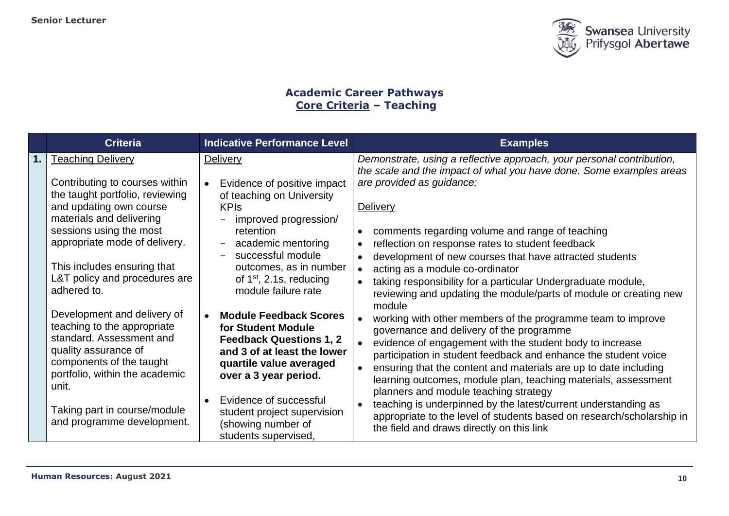

# **Academic Career Pathways Core Criteria – Teaching**

| <b>Criteria</b>                                                                                                                                                                                                                                                                                 | <b>Indicative Performance Level</b>                                                                                                                                                                                                                                             | <b>Examples</b>                                                                                                                                                                                                                                                                                                                                                                                                                                                                                                                                                                                                         |
|-------------------------------------------------------------------------------------------------------------------------------------------------------------------------------------------------------------------------------------------------------------------------------------------------|---------------------------------------------------------------------------------------------------------------------------------------------------------------------------------------------------------------------------------------------------------------------------------|-------------------------------------------------------------------------------------------------------------------------------------------------------------------------------------------------------------------------------------------------------------------------------------------------------------------------------------------------------------------------------------------------------------------------------------------------------------------------------------------------------------------------------------------------------------------------------------------------------------------------|
| <b>Teaching Delivery</b><br>Contributing to courses within<br>the taught portfolio, reviewing<br>and updating own course<br>materials and delivering<br>sessions using the most<br>appropriate mode of delivery.<br>This includes ensuring that<br>L&T policy and procedures are<br>adhered to. | <b>Delivery</b><br>Evidence of positive impact<br>of teaching on University<br><b>KPIs</b><br>improved progression/<br>retention<br>academic mentoring<br>-<br>successful module<br>outcomes, as in number<br>of $1st$ , 2.1s, reducing<br>module failure rate                  | Demonstrate, using a reflective approach, your personal contribution,<br>the scale and the impact of what you have done. Some examples areas<br>are provided as guidance:<br><b>Delivery</b><br>comments regarding volume and range of teaching<br>reflection on response rates to student feedback<br>development of new courses that have attracted students<br>acting as a module co-ordinator<br>taking responsibility for a particular Undergraduate module,<br>reviewing and updating the module/parts of module or creating new                                                                                  |
| Development and delivery of<br>teaching to the appropriate<br>standard. Assessment and<br>quality assurance of<br>components of the taught<br>portfolio, within the academic<br>unit.<br>Taking part in course/module<br>and programme development.                                             | <b>Module Feedback Scores</b><br>for Student Module<br><b>Feedback Questions 1, 2</b><br>and 3 of at least the lower<br>quartile value averaged<br>over a 3 year period.<br>Evidence of successful<br>student project supervision<br>(showing number of<br>students supervised, | module<br>working with other members of the programme team to improve<br>governance and delivery of the programme<br>evidence of engagement with the student body to increase<br>participation in student feedback and enhance the student voice<br>ensuring that the content and materials are up to date including<br>learning outcomes, module plan, teaching materials, assessment<br>planners and module teaching strategy<br>teaching is underpinned by the latest/current understanding as<br>appropriate to the level of students based on research/scholarship in<br>the field and draws directly on this link |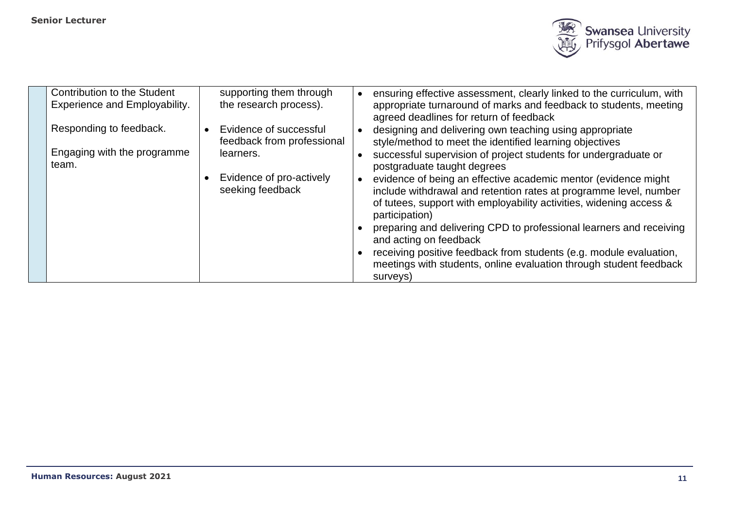

| Contribution to the Student<br>Experience and Employability.    | supporting them through<br>the research process).                                                                 | ensuring effective assessment, clearly linked to the curriculum, with<br>appropriate turnaround of marks and feedback to students, meeting<br>agreed deadlines for return of feedback                                                                                                                                                                                                                                                                                                                                                                                                                                                                                                                         |
|-----------------------------------------------------------------|-------------------------------------------------------------------------------------------------------------------|---------------------------------------------------------------------------------------------------------------------------------------------------------------------------------------------------------------------------------------------------------------------------------------------------------------------------------------------------------------------------------------------------------------------------------------------------------------------------------------------------------------------------------------------------------------------------------------------------------------------------------------------------------------------------------------------------------------|
| Responding to feedback.<br>Engaging with the programme<br>team. | Evidence of successful<br>feedback from professional<br>learners.<br>Evidence of pro-actively<br>seeking feedback | designing and delivering own teaching using appropriate<br>style/method to meet the identified learning objectives<br>successful supervision of project students for undergraduate or<br>postgraduate taught degrees<br>evidence of being an effective academic mentor (evidence might<br>include withdrawal and retention rates at programme level, number<br>of tutees, support with employability activities, widening access &<br>participation)<br>preparing and delivering CPD to professional learners and receiving<br>and acting on feedback<br>receiving positive feedback from students (e.g. module evaluation,<br>meetings with students, online evaluation through student feedback<br>surveys) |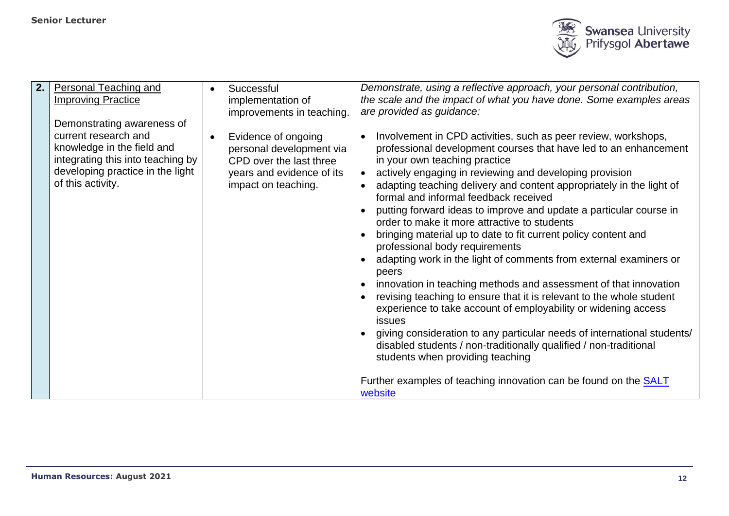

| 2. | <b>Personal Teaching and</b>      | Successful                | Demonstrate, using a reflective approach, your personal contribution,                                                                        |
|----|-----------------------------------|---------------------------|----------------------------------------------------------------------------------------------------------------------------------------------|
|    | <b>Improving Practice</b>         | implementation of         | the scale and the impact of what you have done. Some examples areas                                                                          |
|    |                                   | improvements in teaching. | are provided as guidance:                                                                                                                    |
|    | Demonstrating awareness of        |                           |                                                                                                                                              |
|    | current research and              | Evidence of ongoing       | Involvement in CPD activities, such as peer review, workshops,                                                                               |
|    | knowledge in the field and        | personal development via  | professional development courses that have led to an enhancement                                                                             |
|    | integrating this into teaching by | CPD over the last three   | in your own teaching practice                                                                                                                |
|    | developing practice in the light  | years and evidence of its | actively engaging in reviewing and developing provision<br>$\bullet$                                                                         |
|    | of this activity.                 | impact on teaching.       | adapting teaching delivery and content appropriately in the light of<br>formal and informal feedback received                                |
|    |                                   |                           | putting forward ideas to improve and update a particular course in                                                                           |
|    |                                   |                           | order to make it more attractive to students                                                                                                 |
|    |                                   |                           | bringing material up to date to fit current policy content and<br>professional body requirements                                             |
|    |                                   |                           | adapting work in the light of comments from external examiners or<br>peers                                                                   |
|    |                                   |                           | innovation in teaching methods and assessment of that innovation                                                                             |
|    |                                   |                           | revising teaching to ensure that it is relevant to the whole student                                                                         |
|    |                                   |                           | experience to take account of employability or widening access                                                                               |
|    |                                   |                           | <b>issues</b>                                                                                                                                |
|    |                                   |                           | giving consideration to any particular needs of international students/<br>disabled students / non-traditionally qualified / non-traditional |
|    |                                   |                           | students when providing teaching                                                                                                             |
|    |                                   |                           | Further examples of teaching innovation can be found on the <b>SALT</b>                                                                      |
|    |                                   |                           | website                                                                                                                                      |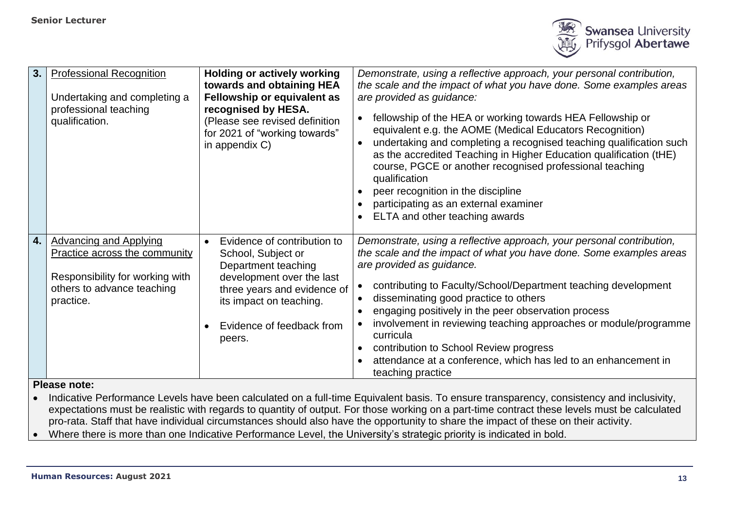

| 3.         | <b>Professional Recognition</b><br>Undertaking and completing a<br>professional teaching<br>qualification.                                          | <b>Holding or actively working</b><br>towards and obtaining HEA<br>Fellowship or equivalent as<br>recognised by HESA.<br>(Please see revised definition<br>for 2021 of "working towards"<br>in appendix C)          | Demonstrate, using a reflective approach, your personal contribution,<br>the scale and the impact of what you have done. Some examples areas<br>are provided as guidance:<br>fellowship of the HEA or working towards HEA Fellowship or<br>equivalent e.g. the AOME (Medical Educators Recognition)<br>undertaking and completing a recognised teaching qualification such<br>as the accredited Teaching in Higher Education qualification (tHE)<br>course, PGCE or another recognised professional teaching<br>qualification<br>peer recognition in the discipline<br>participating as an external examiner<br>ELTA and other teaching awards |
|------------|-----------------------------------------------------------------------------------------------------------------------------------------------------|---------------------------------------------------------------------------------------------------------------------------------------------------------------------------------------------------------------------|------------------------------------------------------------------------------------------------------------------------------------------------------------------------------------------------------------------------------------------------------------------------------------------------------------------------------------------------------------------------------------------------------------------------------------------------------------------------------------------------------------------------------------------------------------------------------------------------------------------------------------------------|
| 4.1<br>DI- | <b>Advancing and Applying</b><br><b>Practice across the community</b><br>Responsibility for working with<br>others to advance teaching<br>practice. | Evidence of contribution to<br>$\bullet$<br>School, Subject or<br>Department teaching<br>development over the last<br>three years and evidence of<br>its impact on teaching.<br>Evidence of feedback from<br>peers. | Demonstrate, using a reflective approach, your personal contribution,<br>the scale and the impact of what you have done. Some examples areas<br>are provided as guidance.<br>contributing to Faculty/School/Department teaching development<br>disseminating good practice to others<br>engaging positively in the peer observation process<br>involvement in reviewing teaching approaches or module/programme<br>curricula<br>contribution to School Review progress<br>attendance at a conference, which has led to an enhancement in<br>teaching practice                                                                                  |

• Indicative Performance Levels have been calculated on a full-time Equivalent basis. To ensure transparency, consistency and inclusivity, expectations must be realistic with regards to quantity of output. For those working on a part-time contract these levels must be calculated pro-rata. Staff that have individual circumstances should also have the opportunity to share the impact of these on their activity.

• Where there is more than one Indicative Performance Level, the University's strategic priority is indicated in bold.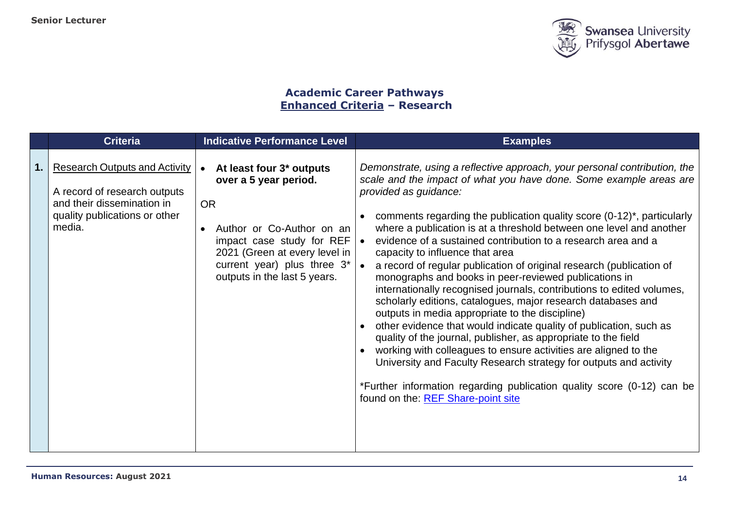

# **Academic Career Pathways Enhanced Criteria – Research**

|    | <b>Criteria</b>                                                                                                                               | <b>Indicative Performance Level</b>                                                                                                                                                                                                                | <b>Examples</b>                                                                                                                                                                                                                                                                                                                                                                                                                                                                                                                                                                                                                                                                                                                                                                                                                                                                                                                                                                                                                                                                                                                                                |
|----|-----------------------------------------------------------------------------------------------------------------------------------------------|----------------------------------------------------------------------------------------------------------------------------------------------------------------------------------------------------------------------------------------------------|----------------------------------------------------------------------------------------------------------------------------------------------------------------------------------------------------------------------------------------------------------------------------------------------------------------------------------------------------------------------------------------------------------------------------------------------------------------------------------------------------------------------------------------------------------------------------------------------------------------------------------------------------------------------------------------------------------------------------------------------------------------------------------------------------------------------------------------------------------------------------------------------------------------------------------------------------------------------------------------------------------------------------------------------------------------------------------------------------------------------------------------------------------------|
| 1. | <b>Research Outputs and Activity</b><br>A record of research outputs<br>and their dissemination in<br>quality publications or other<br>media. | At least four 3* outputs<br>$\bullet$<br>over a 5 year period.<br><b>OR</b><br>Author or Co-Author on an<br>$\bullet$<br>impact case study for REF<br>2021 (Green at every level in<br>current year) plus three 3*<br>outputs in the last 5 years. | Demonstrate, using a reflective approach, your personal contribution, the<br>scale and the impact of what you have done. Some example areas are<br>provided as guidance:<br>comments regarding the publication quality score $(0-12)^*$ , particularly<br>where a publication is at a threshold between one level and another<br>evidence of a sustained contribution to a research area and a<br>capacity to influence that area<br>a record of regular publication of original research (publication of<br>monographs and books in peer-reviewed publications in<br>internationally recognised journals, contributions to edited volumes,<br>scholarly editions, catalogues, major research databases and<br>outputs in media appropriate to the discipline)<br>other evidence that would indicate quality of publication, such as<br>quality of the journal, publisher, as appropriate to the field<br>working with colleagues to ensure activities are aligned to the<br>University and Faculty Research strategy for outputs and activity<br>*Further information regarding publication quality score (0-12) can be<br>found on the: REF Share-point site |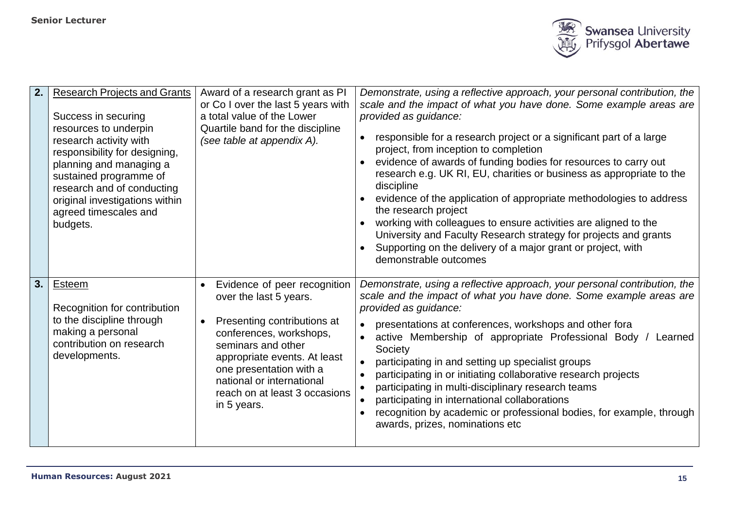

| 2. | <b>Research Projects and Grants</b><br>Success in securing<br>resources to underpin<br>research activity with<br>responsibility for designing,<br>planning and managing a<br>sustained programme of<br>research and of conducting<br>original investigations within<br>agreed timescales and<br>budgets. | Award of a research grant as PI<br>or Co I over the last 5 years with<br>a total value of the Lower<br>Quartile band for the discipline<br>(see table at appendix A).                                                                                                                       | Demonstrate, using a reflective approach, your personal contribution, the<br>scale and the impact of what you have done. Some example areas are<br>provided as guidance:<br>responsible for a research project or a significant part of a large<br>project, from inception to completion<br>evidence of awards of funding bodies for resources to carry out<br>research e.g. UK RI, EU, charities or business as appropriate to the<br>discipline<br>evidence of the application of appropriate methodologies to address<br>the research project<br>working with colleagues to ensure activities are aligned to the<br>University and Faculty Research strategy for projects and grants<br>Supporting on the delivery of a major grant or project, with<br>demonstrable outcomes |
|----|----------------------------------------------------------------------------------------------------------------------------------------------------------------------------------------------------------------------------------------------------------------------------------------------------------|---------------------------------------------------------------------------------------------------------------------------------------------------------------------------------------------------------------------------------------------------------------------------------------------|----------------------------------------------------------------------------------------------------------------------------------------------------------------------------------------------------------------------------------------------------------------------------------------------------------------------------------------------------------------------------------------------------------------------------------------------------------------------------------------------------------------------------------------------------------------------------------------------------------------------------------------------------------------------------------------------------------------------------------------------------------------------------------|
|    | Esteem<br>Recognition for contribution<br>to the discipline through<br>making a personal<br>contribution on research<br>developments.                                                                                                                                                                    | Evidence of peer recognition<br>$\bullet$<br>over the last 5 years.<br>Presenting contributions at<br>conferences, workshops,<br>seminars and other<br>appropriate events. At least<br>one presentation with a<br>national or international<br>reach on at least 3 occasions<br>in 5 years. | Demonstrate, using a reflective approach, your personal contribution, the<br>scale and the impact of what you have done. Some example areas are<br>provided as guidance:<br>presentations at conferences, workshops and other fora<br>active Membership of appropriate Professional Body<br>Learned<br>Society<br>participating in and setting up specialist groups<br>participating in or initiating collaborative research projects<br>participating in multi-disciplinary research teams<br>participating in international collaborations<br>recognition by academic or professional bodies, for example, through<br>awards, prizes, nominations etc                                                                                                                          |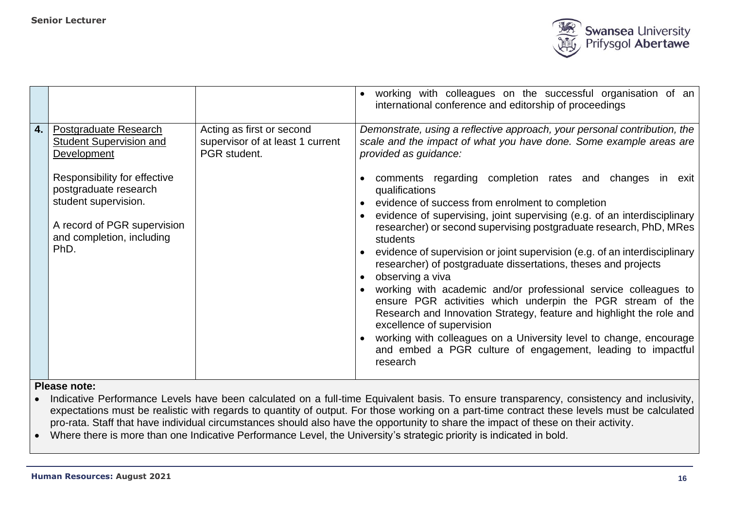

|                                                                                                                                                                                                                                                                                                                    | working with colleagues on the successful organisation of an<br>international conference and editorship of proceedings                                                                                                                                                                                                                                                                                                                                                                                                                                                                                                                                                                                                                                                                                                                                                                                                                                                                                                                |
|--------------------------------------------------------------------------------------------------------------------------------------------------------------------------------------------------------------------------------------------------------------------------------------------------------------------|---------------------------------------------------------------------------------------------------------------------------------------------------------------------------------------------------------------------------------------------------------------------------------------------------------------------------------------------------------------------------------------------------------------------------------------------------------------------------------------------------------------------------------------------------------------------------------------------------------------------------------------------------------------------------------------------------------------------------------------------------------------------------------------------------------------------------------------------------------------------------------------------------------------------------------------------------------------------------------------------------------------------------------------|
| 4.<br>Postgraduate Research<br>Acting as first or second<br><b>Student Supervision and</b><br>supervisor of at least 1 current<br>PGR student.<br>Development<br>Responsibility for effective<br>postgraduate research<br>student supervision.<br>A record of PGR supervision<br>and completion, including<br>PhD. | Demonstrate, using a reflective approach, your personal contribution, the<br>scale and the impact of what you have done. Some example areas are<br>provided as guidance:<br>comments regarding completion rates and changes<br>in exit<br>qualifications<br>evidence of success from enrolment to completion<br>evidence of supervising, joint supervising (e.g. of an interdisciplinary<br>researcher) or second supervising postgraduate research, PhD, MRes<br>students<br>evidence of supervision or joint supervision (e.g. of an interdisciplinary<br>researcher) of postgraduate dissertations, theses and projects<br>observing a viva<br>working with academic and/or professional service colleagues to<br>ensure PGR activities which underpin the PGR stream of the<br>Research and Innovation Strategy, feature and highlight the role and<br>excellence of supervision<br>working with colleagues on a University level to change, encourage<br>and embed a PGR culture of engagement, leading to impactful<br>research |

- Indicative Performance Levels have been calculated on a full-time Equivalent basis. To ensure transparency, consistency and inclusivity, expectations must be realistic with regards to quantity of output. For those working on a part-time contract these levels must be calculated pro-rata. Staff that have individual circumstances should also have the opportunity to share the impact of these on their activity.
- Where there is more than one Indicative Performance Level, the University's strategic priority is indicated in bold.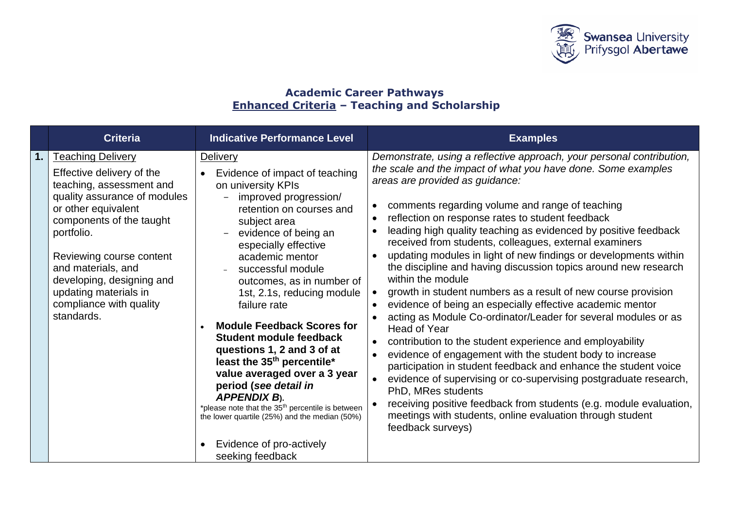

# **Academic Career Pathways Enhanced Criteria – Teaching and Scholarship**

|               | <b>Criteria</b>                                                                                                                                                                                                                                                                                                                     | <b>Indicative Performance Level</b>                                                                                                                                                                                                                                                                                                                                                                                                                                                                                                                                                                                                                                           | <b>Examples</b>                                                                                                                                                                                                                                                                                                                                                                                                                                                                                                                                                                                                                                                                                                                                                                                                                                                                                                                                                                                                                                                                                                                                                                                                                                                                                                                                       |
|---------------|-------------------------------------------------------------------------------------------------------------------------------------------------------------------------------------------------------------------------------------------------------------------------------------------------------------------------------------|-------------------------------------------------------------------------------------------------------------------------------------------------------------------------------------------------------------------------------------------------------------------------------------------------------------------------------------------------------------------------------------------------------------------------------------------------------------------------------------------------------------------------------------------------------------------------------------------------------------------------------------------------------------------------------|-------------------------------------------------------------------------------------------------------------------------------------------------------------------------------------------------------------------------------------------------------------------------------------------------------------------------------------------------------------------------------------------------------------------------------------------------------------------------------------------------------------------------------------------------------------------------------------------------------------------------------------------------------------------------------------------------------------------------------------------------------------------------------------------------------------------------------------------------------------------------------------------------------------------------------------------------------------------------------------------------------------------------------------------------------------------------------------------------------------------------------------------------------------------------------------------------------------------------------------------------------------------------------------------------------------------------------------------------------|
| $\mathbf 1$ . | <b>Teaching Delivery</b><br>Effective delivery of the<br>teaching, assessment and<br>quality assurance of modules<br>or other equivalent<br>components of the taught<br>portfolio.<br>Reviewing course content<br>and materials, and<br>developing, designing and<br>updating materials in<br>compliance with quality<br>standards. | Delivery<br>Evidence of impact of teaching<br>on university KPIs<br>improved progression/<br>retention on courses and<br>subject area<br>evidence of being an<br>especially effective<br>academic mentor<br>successful module<br>outcomes, as in number of<br>1st, 2.1s, reducing module<br>failure rate<br><b>Module Feedback Scores for</b><br>Student module feedback<br>questions 1, 2 and 3 of at<br>least the 35 <sup>th</sup> percentile*<br>value averaged over a 3 year<br>period (see detail in<br><b>APPENDIX B).</b><br>*please note that the 35 <sup>th</sup> percentile is between<br>the lower quartile (25%) and the median (50%)<br>Evidence of pro-actively | Demonstrate, using a reflective approach, your personal contribution,<br>the scale and the impact of what you have done. Some examples<br>areas are provided as guidance:<br>comments regarding volume and range of teaching<br>$\bullet$<br>reflection on response rates to student feedback<br>$\bullet$<br>leading high quality teaching as evidenced by positive feedback<br>$\bullet$<br>received from students, colleagues, external examiners<br>updating modules in light of new findings or developments within<br>$\bullet$<br>the discipline and having discussion topics around new research<br>within the module<br>growth in student numbers as a result of new course provision<br>$\bullet$<br>evidence of being an especially effective academic mentor<br>$\bullet$<br>acting as Module Co-ordinator/Leader for several modules or as<br><b>Head of Year</b><br>contribution to the student experience and employability<br>$\bullet$<br>evidence of engagement with the student body to increase<br>$\bullet$<br>participation in student feedback and enhance the student voice<br>evidence of supervising or co-supervising postgraduate research,<br>PhD, MRes students<br>receiving positive feedback from students (e.g. module evaluation,<br>meetings with students, online evaluation through student<br>feedback surveys) |
|               |                                                                                                                                                                                                                                                                                                                                     | seeking feedback                                                                                                                                                                                                                                                                                                                                                                                                                                                                                                                                                                                                                                                              |                                                                                                                                                                                                                                                                                                                                                                                                                                                                                                                                                                                                                                                                                                                                                                                                                                                                                                                                                                                                                                                                                                                                                                                                                                                                                                                                                       |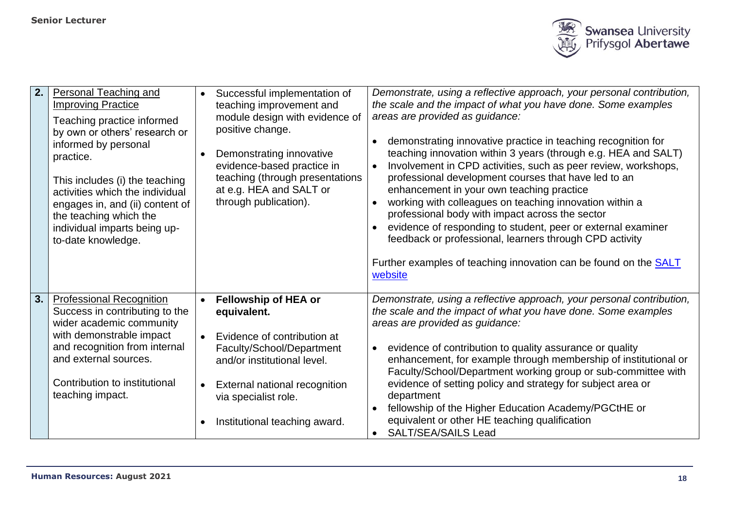

| 2. | Personal Teaching and<br><b>Improving Practice</b><br>Teaching practice informed<br>by own or others' research or<br>informed by personal<br>practice.<br>This includes (i) the teaching<br>activities which the individual<br>engages in, and (ii) content of<br>the teaching which the<br>individual imparts being up-<br>to-date knowledge. | Successful implementation of<br>teaching improvement and<br>module design with evidence of<br>positive change.<br>Demonstrating innovative<br>evidence-based practice in<br>teaching (through presentations<br>at e.g. HEA and SALT or<br>through publication). | Demonstrate, using a reflective approach, your personal contribution,<br>the scale and the impact of what you have done. Some examples<br>areas are provided as guidance:<br>demonstrating innovative practice in teaching recognition for<br>teaching innovation within 3 years (through e.g. HEA and SALT)<br>Involvement in CPD activities, such as peer review, workshops,<br>$\bullet$<br>professional development courses that have led to an<br>enhancement in your own teaching practice<br>working with colleagues on teaching innovation within a<br>professional body with impact across the sector<br>evidence of responding to student, peer or external examiner<br>feedback or professional, learners through CPD activity<br>Further examples of teaching innovation can be found on the <b>SALT</b><br>website |
|----|------------------------------------------------------------------------------------------------------------------------------------------------------------------------------------------------------------------------------------------------------------------------------------------------------------------------------------------------|-----------------------------------------------------------------------------------------------------------------------------------------------------------------------------------------------------------------------------------------------------------------|---------------------------------------------------------------------------------------------------------------------------------------------------------------------------------------------------------------------------------------------------------------------------------------------------------------------------------------------------------------------------------------------------------------------------------------------------------------------------------------------------------------------------------------------------------------------------------------------------------------------------------------------------------------------------------------------------------------------------------------------------------------------------------------------------------------------------------|
| 3. | <b>Professional Recognition</b><br>Success in contributing to the<br>wider academic community<br>with demonstrable impact<br>and recognition from internal<br>and external sources.<br>Contribution to institutional<br>teaching impact.                                                                                                       | <b>Fellowship of HEA or</b><br>$\bullet$<br>equivalent.<br>Evidence of contribution at<br>$\bullet$<br>Faculty/School/Department<br>and/or institutional level.<br>External national recognition<br>via specialist role.<br>Institutional teaching award.       | Demonstrate, using a reflective approach, your personal contribution,<br>the scale and the impact of what you have done. Some examples<br>areas are provided as guidance:<br>evidence of contribution to quality assurance or quality<br>$\bullet$<br>enhancement, for example through membership of institutional or<br>Faculty/School/Department working group or sub-committee with<br>evidence of setting policy and strategy for subject area or<br>department<br>fellowship of the Higher Education Academy/PGCtHE or<br>equivalent or other HE teaching qualification<br><b>SALT/SEA/SAILS Lead</b>                                                                                                                                                                                                                      |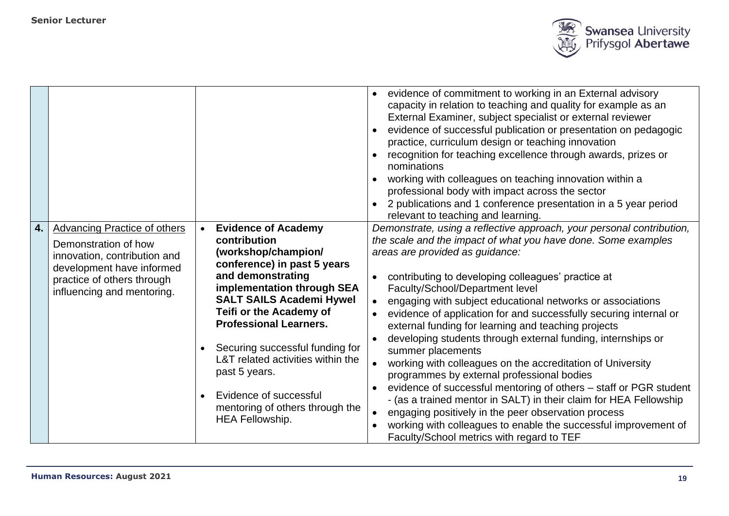

|    |                                     |                                                          | evidence of commitment to working in an External advisory<br>capacity in relation to teaching and quality for example as an<br>External Examiner, subject specialist or external reviewer<br>evidence of successful publication or presentation on pedagogic |
|----|-------------------------------------|----------------------------------------------------------|--------------------------------------------------------------------------------------------------------------------------------------------------------------------------------------------------------------------------------------------------------------|
|    |                                     |                                                          | practice, curriculum design or teaching innovation<br>recognition for teaching excellence through awards, prizes or                                                                                                                                          |
|    |                                     |                                                          | nominations                                                                                                                                                                                                                                                  |
|    |                                     |                                                          | working with colleagues on teaching innovation within a                                                                                                                                                                                                      |
|    |                                     |                                                          | professional body with impact across the sector                                                                                                                                                                                                              |
|    |                                     |                                                          | 2 publications and 1 conference presentation in a 5 year period                                                                                                                                                                                              |
|    |                                     |                                                          | relevant to teaching and learning.                                                                                                                                                                                                                           |
| 4. | <b>Advancing Practice of others</b> | <b>Evidence of Academy</b>                               | Demonstrate, using a reflective approach, your personal contribution,                                                                                                                                                                                        |
|    | Demonstration of how                | contribution                                             | the scale and the impact of what you have done. Some examples                                                                                                                                                                                                |
|    | innovation, contribution and        | (workshop/champion/                                      | areas are provided as guidance:                                                                                                                                                                                                                              |
|    | development have informed           | conference) in past 5 years                              |                                                                                                                                                                                                                                                              |
|    | practice of others through          | and demonstrating                                        | contributing to developing colleagues' practice at                                                                                                                                                                                                           |
|    | influencing and mentoring.          | implementation through SEA                               | Faculty/School/Department level                                                                                                                                                                                                                              |
|    |                                     | <b>SALT SAILS Academi Hywel</b>                          | engaging with subject educational networks or associations                                                                                                                                                                                                   |
|    |                                     | Teifi or the Academy of<br><b>Professional Learners.</b> | evidence of application for and successfully securing internal or                                                                                                                                                                                            |
|    |                                     |                                                          | external funding for learning and teaching projects                                                                                                                                                                                                          |
|    |                                     | Securing successful funding for                          | developing students through external funding, internships or<br>$\bullet$<br>summer placements                                                                                                                                                               |
|    |                                     | L&T related activities within the                        | working with colleagues on the accreditation of University<br>$\bullet$                                                                                                                                                                                      |
|    |                                     | past 5 years.                                            | programmes by external professional bodies                                                                                                                                                                                                                   |
|    |                                     |                                                          | evidence of successful mentoring of others - staff or PGR student                                                                                                                                                                                            |
|    |                                     | Evidence of successful                                   | - (as a trained mentor in SALT) in their claim for HEA Fellowship                                                                                                                                                                                            |
|    |                                     | mentoring of others through the                          | engaging positively in the peer observation process                                                                                                                                                                                                          |
|    |                                     | HEA Fellowship.                                          | working with colleagues to enable the successful improvement of                                                                                                                                                                                              |
|    |                                     |                                                          | Faculty/School metrics with regard to TEF                                                                                                                                                                                                                    |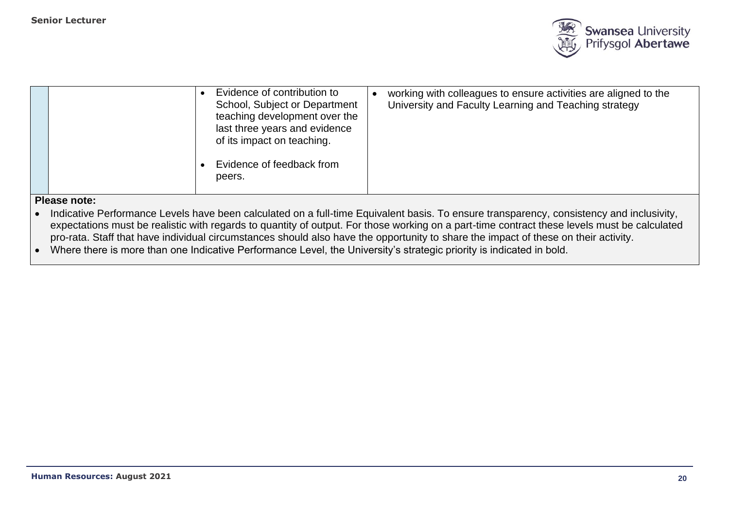

|  |  | Evidence of contribution to<br>School, Subject or Department<br>teaching development over the<br>last three years and evidence<br>of its impact on teaching.<br>Evidence of feedback from<br>peers. |  | working with colleagues to ensure activities are aligned to the<br>University and Faculty Learning and Teaching strategy |  |
|--|--|-----------------------------------------------------------------------------------------------------------------------------------------------------------------------------------------------------|--|--------------------------------------------------------------------------------------------------------------------------|--|
|--|--|-----------------------------------------------------------------------------------------------------------------------------------------------------------------------------------------------------|--|--------------------------------------------------------------------------------------------------------------------------|--|

- Indicative Performance Levels have been calculated on a full-time Equivalent basis. To ensure transparency, consistency and inclusivity, expectations must be realistic with regards to quantity of output. For those working on a part-time contract these levels must be calculated pro-rata. Staff that have individual circumstances should also have the opportunity to share the impact of these on their activity.
- Where there is more than one Indicative Performance Level, the University's strategic priority is indicated in bold.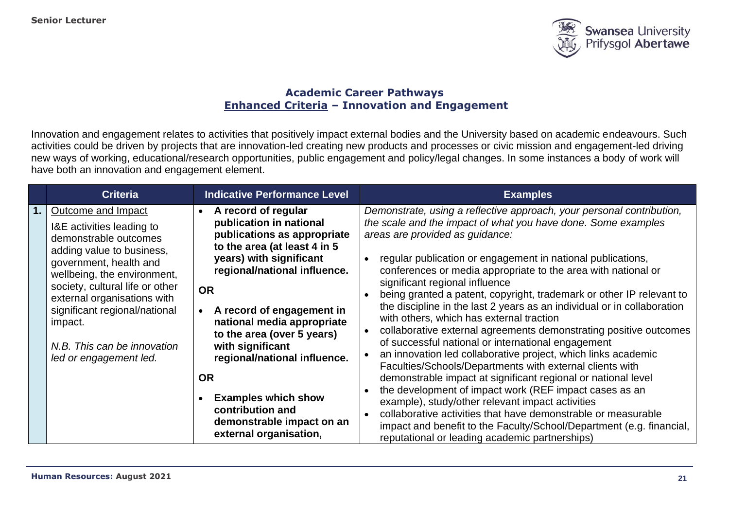

# **Academic Career Pathways Enhanced Criteria – Innovation and Engagement**

Innovation and engagement relates to activities that positively impact external bodies and the University based on academic endeavours. Such activities could be driven by projects that are innovation-led creating new products and processes or civic mission and engagement-led driving new ways of working, educational/research opportunities, public engagement and policy/legal changes. In some instances a body of work will have both an innovation and engagement element.

|                | <b>Criteria</b>                                                                                                                                                                                                                                                                                                                       | <b>Indicative Performance Level</b>                                                                                                                                                                                                                                                                                                                                                                                                                      | <b>Examples</b>                                                                                                                                                                                                                                                                                                                                                                                                                                                                                                                                                                                                                                                                                                                                                                                                                                                                                                                                                                                                                                                                                                                                                              |
|----------------|---------------------------------------------------------------------------------------------------------------------------------------------------------------------------------------------------------------------------------------------------------------------------------------------------------------------------------------|----------------------------------------------------------------------------------------------------------------------------------------------------------------------------------------------------------------------------------------------------------------------------------------------------------------------------------------------------------------------------------------------------------------------------------------------------------|------------------------------------------------------------------------------------------------------------------------------------------------------------------------------------------------------------------------------------------------------------------------------------------------------------------------------------------------------------------------------------------------------------------------------------------------------------------------------------------------------------------------------------------------------------------------------------------------------------------------------------------------------------------------------------------------------------------------------------------------------------------------------------------------------------------------------------------------------------------------------------------------------------------------------------------------------------------------------------------------------------------------------------------------------------------------------------------------------------------------------------------------------------------------------|
| $\mathbf{1}$ . | Outcome and Impact<br>I&E activities leading to<br>demonstrable outcomes<br>adding value to business,<br>government, health and<br>wellbeing, the environment,<br>society, cultural life or other<br>external organisations with<br>significant regional/national<br>impact.<br>N.B. This can be innovation<br>led or engagement led. | A record of regular<br>publication in national<br>publications as appropriate<br>to the area (at least 4 in 5<br>years) with significant<br>regional/national influence.<br><b>OR</b><br>A record of engagement in<br>national media appropriate<br>to the area (over 5 years)<br>with significant<br>regional/national influence.<br><b>OR</b><br><b>Examples which show</b><br>contribution and<br>demonstrable impact on an<br>external organisation, | Demonstrate, using a reflective approach, your personal contribution,<br>the scale and the impact of what you have done. Some examples<br>areas are provided as guidance:<br>regular publication or engagement in national publications,<br>conferences or media appropriate to the area with national or<br>significant regional influence<br>being granted a patent, copyright, trademark or other IP relevant to<br>the discipline in the last 2 years as an individual or in collaboration<br>with others, which has external traction<br>collaborative external agreements demonstrating positive outcomes<br>of successful national or international engagement<br>an innovation led collaborative project, which links academic<br>Faculties/Schools/Departments with external clients with<br>demonstrable impact at significant regional or national level<br>the development of impact work (REF impact cases as an<br>example), study/other relevant impact activities<br>collaborative activities that have demonstrable or measurable<br>impact and benefit to the Faculty/School/Department (e.g. financial,<br>reputational or leading academic partnerships) |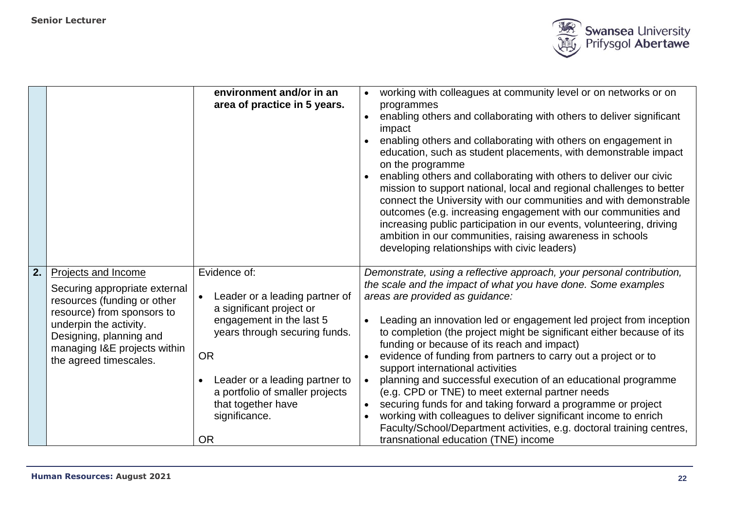

|    |                                                                                                                                                                                                                                  | environment and/or in an<br>area of practice in 5 years.                                                                                                                                                                                                                      | working with colleagues at community level or on networks or on<br>programmes<br>enabling others and collaborating with others to deliver significant<br>impact<br>enabling others and collaborating with others on engagement in<br>education, such as student placements, with demonstrable impact<br>on the programme<br>enabling others and collaborating with others to deliver our civic<br>mission to support national, local and regional challenges to better<br>connect the University with our communities and with demonstrable<br>outcomes (e.g. increasing engagement with our communities and<br>increasing public participation in our events, volunteering, driving<br>ambition in our communities, raising awareness in schools<br>developing relationships with civic leaders)                                                      |
|----|----------------------------------------------------------------------------------------------------------------------------------------------------------------------------------------------------------------------------------|-------------------------------------------------------------------------------------------------------------------------------------------------------------------------------------------------------------------------------------------------------------------------------|--------------------------------------------------------------------------------------------------------------------------------------------------------------------------------------------------------------------------------------------------------------------------------------------------------------------------------------------------------------------------------------------------------------------------------------------------------------------------------------------------------------------------------------------------------------------------------------------------------------------------------------------------------------------------------------------------------------------------------------------------------------------------------------------------------------------------------------------------------|
| 2. | Projects and Income<br>Securing appropriate external<br>resources (funding or other<br>resource) from sponsors to<br>underpin the activity.<br>Designing, planning and<br>managing I&E projects within<br>the agreed timescales. | Evidence of:<br>Leader or a leading partner of<br>a significant project or<br>engagement in the last 5<br>years through securing funds.<br><b>OR</b><br>Leader or a leading partner to<br>a portfolio of smaller projects<br>that together have<br>significance.<br><b>OR</b> | Demonstrate, using a reflective approach, your personal contribution,<br>the scale and the impact of what you have done. Some examples<br>areas are provided as guidance:<br>Leading an innovation led or engagement led project from inception<br>to completion (the project might be significant either because of its<br>funding or because of its reach and impact)<br>evidence of funding from partners to carry out a project or to<br>support international activities<br>planning and successful execution of an educational programme<br>(e.g. CPD or TNE) to meet external partner needs<br>securing funds for and taking forward a programme or project<br>working with colleagues to deliver significant income to enrich<br>Faculty/School/Department activities, e.g. doctoral training centres,<br>transnational education (TNE) income |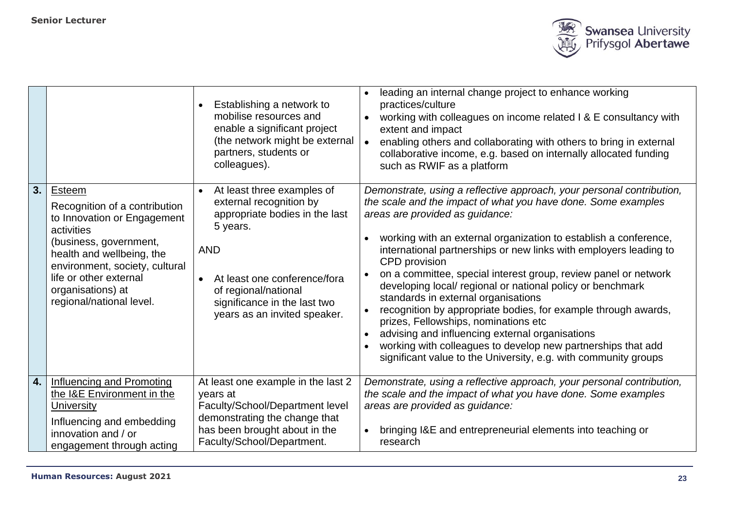

|    |                                                                                                                                                                                                                                                          | Establishing a network to<br>mobilise resources and<br>enable a significant project<br>(the network might be external<br>partners, students or<br>colleagues).                                                                                         | leading an internal change project to enhance working<br>practices/culture<br>working with colleagues on income related I & E consultancy with<br>extent and impact<br>enabling others and collaborating with others to bring in external<br>collaborative income, e.g. based on internally allocated funding<br>such as RWIF as a platform                                                                                                                                                                                                                                                                                                                                                                                                                                                                                     |
|----|----------------------------------------------------------------------------------------------------------------------------------------------------------------------------------------------------------------------------------------------------------|--------------------------------------------------------------------------------------------------------------------------------------------------------------------------------------------------------------------------------------------------------|---------------------------------------------------------------------------------------------------------------------------------------------------------------------------------------------------------------------------------------------------------------------------------------------------------------------------------------------------------------------------------------------------------------------------------------------------------------------------------------------------------------------------------------------------------------------------------------------------------------------------------------------------------------------------------------------------------------------------------------------------------------------------------------------------------------------------------|
| 3. | Esteem<br>Recognition of a contribution<br>to Innovation or Engagement<br>activities<br>(business, government,<br>health and wellbeing, the<br>environment, society, cultural<br>life or other external<br>organisations) at<br>regional/national level. | At least three examples of<br>$\bullet$<br>external recognition by<br>appropriate bodies in the last<br>5 years.<br><b>AND</b><br>At least one conference/fora<br>of regional/national<br>significance in the last two<br>years as an invited speaker. | Demonstrate, using a reflective approach, your personal contribution,<br>the scale and the impact of what you have done. Some examples<br>areas are provided as guidance:<br>working with an external organization to establish a conference,<br>international partnerships or new links with employers leading to<br><b>CPD</b> provision<br>on a committee, special interest group, review panel or network<br>developing local/ regional or national policy or benchmark<br>standards in external organisations<br>recognition by appropriate bodies, for example through awards,<br>prizes, Fellowships, nominations etc<br>advising and influencing external organisations<br>$\bullet$<br>working with colleagues to develop new partnerships that add<br>significant value to the University, e.g. with community groups |
| 4. | <b>Influencing and Promoting</b><br>the I&E Environment in the<br><b>University</b><br>Influencing and embedding<br>innovation and / or<br>engagement through acting                                                                                     | At least one example in the last 2<br>years at<br>Faculty/School/Department level<br>demonstrating the change that<br>has been brought about in the<br>Faculty/School/Department.                                                                      | Demonstrate, using a reflective approach, your personal contribution,<br>the scale and the impact of what you have done. Some examples<br>areas are provided as guidance:<br>bringing I&E and entrepreneurial elements into teaching or<br>research                                                                                                                                                                                                                                                                                                                                                                                                                                                                                                                                                                             |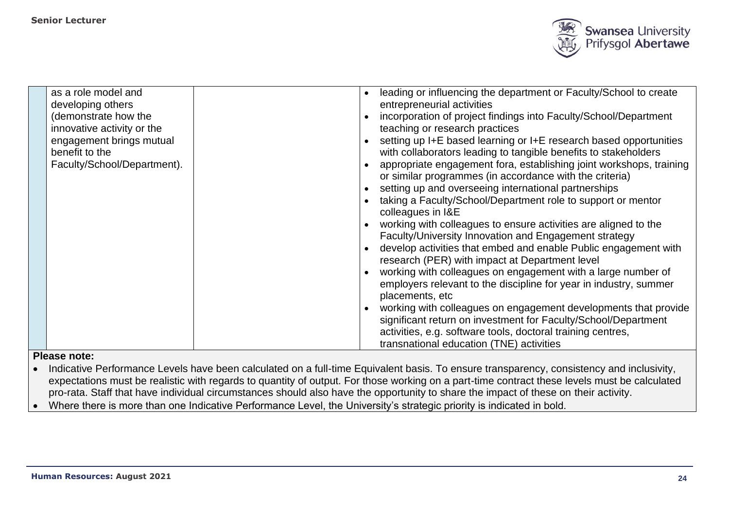

| innovative activity or the<br>teaching or research practices<br>engagement brings mutual<br>with collaborators leading to tangible benefits to stakeholders<br>benefit to the<br>appropriate engagement fora, establishing joint workshops, training<br>Faculty/School/Department).<br>or similar programmes (in accordance with the criteria)<br>setting up and overseeing international partnerships<br>taking a Faculty/School/Department role to support or mentor<br>colleagues in I&E<br>working with colleagues to ensure activities are aligned to the<br>Faculty/University Innovation and Engagement strategy<br>$\bullet$<br>research (PER) with impact at Department level<br>working with colleagues on engagement with a large number of<br>employers relevant to the discipline for year in industry, summer<br>placements, etc<br>working with colleagues on engagement developments that provide<br>significant return on investment for Faculty/School/Department | leading or influencing the department or Faculty/School to create<br>entrepreneurial activities<br>incorporation of project findings into Faculty/School/Department | $\bullet$ | as a role model and<br>developing others<br>(demonstrate how the |
|-------------------------------------------------------------------------------------------------------------------------------------------------------------------------------------------------------------------------------------------------------------------------------------------------------------------------------------------------------------------------------------------------------------------------------------------------------------------------------------------------------------------------------------------------------------------------------------------------------------------------------------------------------------------------------------------------------------------------------------------------------------------------------------------------------------------------------------------------------------------------------------------------------------------------------------------------------------------------------------|---------------------------------------------------------------------------------------------------------------------------------------------------------------------|-----------|------------------------------------------------------------------|
|                                                                                                                                                                                                                                                                                                                                                                                                                                                                                                                                                                                                                                                                                                                                                                                                                                                                                                                                                                                     | setting up I+E based learning or I+E research based opportunities                                                                                                   |           |                                                                  |
|                                                                                                                                                                                                                                                                                                                                                                                                                                                                                                                                                                                                                                                                                                                                                                                                                                                                                                                                                                                     |                                                                                                                                                                     |           |                                                                  |
|                                                                                                                                                                                                                                                                                                                                                                                                                                                                                                                                                                                                                                                                                                                                                                                                                                                                                                                                                                                     |                                                                                                                                                                     |           |                                                                  |
|                                                                                                                                                                                                                                                                                                                                                                                                                                                                                                                                                                                                                                                                                                                                                                                                                                                                                                                                                                                     | develop activities that embed and enable Public engagement with                                                                                                     |           |                                                                  |
|                                                                                                                                                                                                                                                                                                                                                                                                                                                                                                                                                                                                                                                                                                                                                                                                                                                                                                                                                                                     |                                                                                                                                                                     |           |                                                                  |
| activities, e.g. software tools, doctoral training centres,<br>transnational education (TNE) activities                                                                                                                                                                                                                                                                                                                                                                                                                                                                                                                                                                                                                                                                                                                                                                                                                                                                             |                                                                                                                                                                     |           |                                                                  |

• Indicative Performance Levels have been calculated on a full-time Equivalent basis. To ensure transparency, consistency and inclusivity, expectations must be realistic with regards to quantity of output. For those working on a part-time contract these levels must be calculated pro-rata. Staff that have individual circumstances should also have the opportunity to share the impact of these on their activity.

• Where there is more than one Indicative Performance Level, the University's strategic priority is indicated in bold.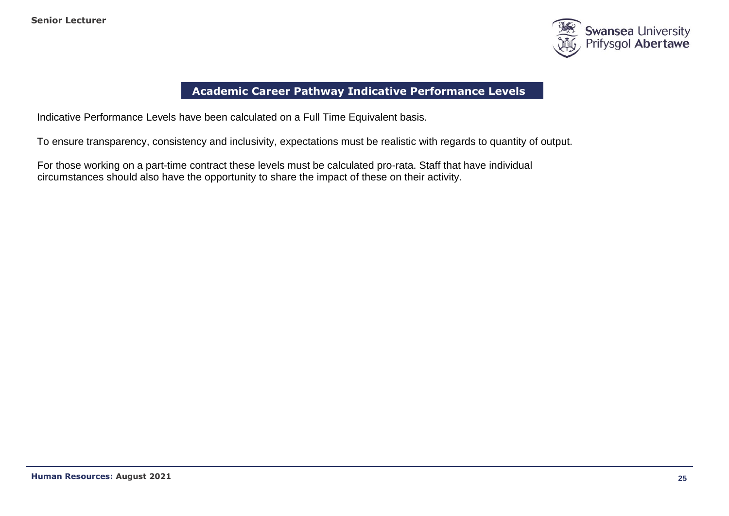

# **Academic Career Pathway Indicative Performance Levels**

Indicative Performance Levels have been calculated on a Full Time Equivalent basis.

To ensure transparency, consistency and inclusivity, expectations must be realistic with regards to quantity of output.

For those working on a part-time contract these levels must be calculated pro-rata. Staff that have individual circumstances should also have the opportunity to share the impact of these on their activity.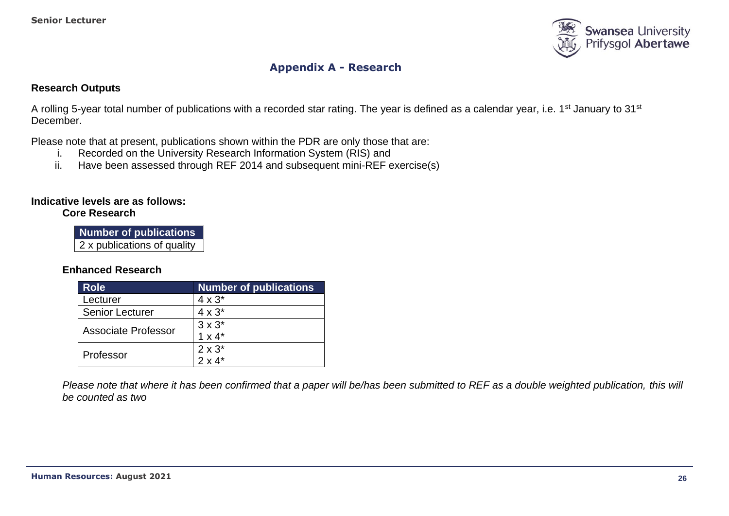

# **Appendix A - Research**

#### **Research Outputs**

A rolling 5-year total number of publications with a recorded star rating. The year is defined as a calendar year, i.e. 1<sup>st</sup> January to 31<sup>st</sup> December.

Please note that at present, publications shown within the PDR are only those that are:

- i. Recorded on the University Research Information System (RIS) and
- ii. Have been assessed through REF 2014 and subsequent mini-REF exercise(s)

## **Indicative levels are as follows:**

#### **Core Research**

**Number of publications** 2 x publications of quality

# **Enhanced Research**

| <b>Role</b>            | <b>Number of publications</b> |
|------------------------|-------------------------------|
| Lecturer               | $4 \times 3^*$                |
| <b>Senior Lecturer</b> | $4 \times 3^*$                |
| Associate Professor    | $3 \times 3^*$                |
|                        | $1 \times 4^*$                |
| Professor              | $2 \times 3^*$                |
|                        | $2 \times 4^*$                |

*Please note that where it has been confirmed that a paper will be/has been submitted to REF as a double weighted publication, this will be counted as two*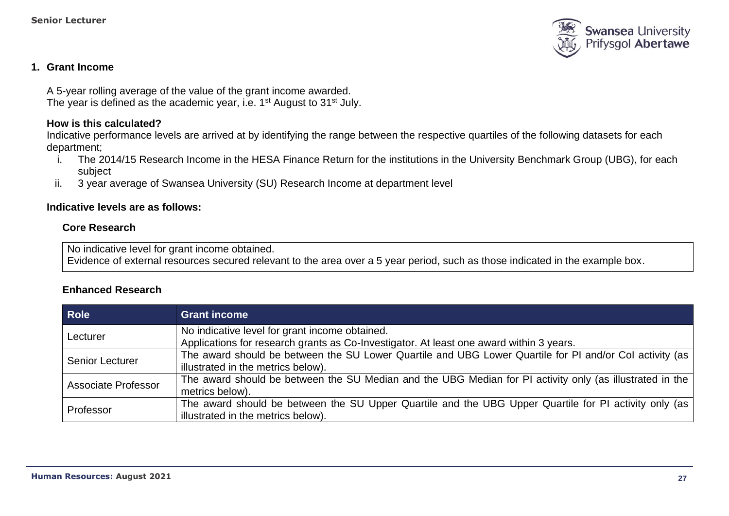

## **1. Grant Income**

A 5-year rolling average of the value of the grant income awarded. The year is defined as the academic year, i.e. 1<sup>st</sup> August to 31<sup>st</sup> July.

#### **How is this calculated?**

Indicative performance levels are arrived at by identifying the range between the respective quartiles of the following datasets for each department;

- i. The 2014/15 Research Income in the HESA Finance Return for the institutions in the University Benchmark Group (UBG), for each subject
- ii. 3 year average of Swansea University (SU) Research Income at department level

### **Indicative levels are as follows:**

#### **Core Research**

No indicative level for grant income obtained.

Evidence of external resources secured relevant to the area over a 5 year period, such as those indicated in the example box.

## **Enhanced Research**

| <b>Role</b>                | <b>Grant income</b>                                                                                      |
|----------------------------|----------------------------------------------------------------------------------------------------------|
| Lecturer                   | No indicative level for grant income obtained.                                                           |
|                            | Applications for research grants as Co-Investigator. At least one award within 3 years.                  |
| <b>Senior Lecturer</b>     | The award should be between the SU Lower Quartile and UBG Lower Quartile for PI and/or Col activity (as  |
|                            | illustrated in the metrics below).                                                                       |
| <b>Associate Professor</b> | The award should be between the SU Median and the UBG Median for PI activity only (as illustrated in the |
|                            | metrics below).                                                                                          |
| Professor                  | The award should be between the SU Upper Quartile and the UBG Upper Quartile for PI activity only (as    |
|                            | illustrated in the metrics below).                                                                       |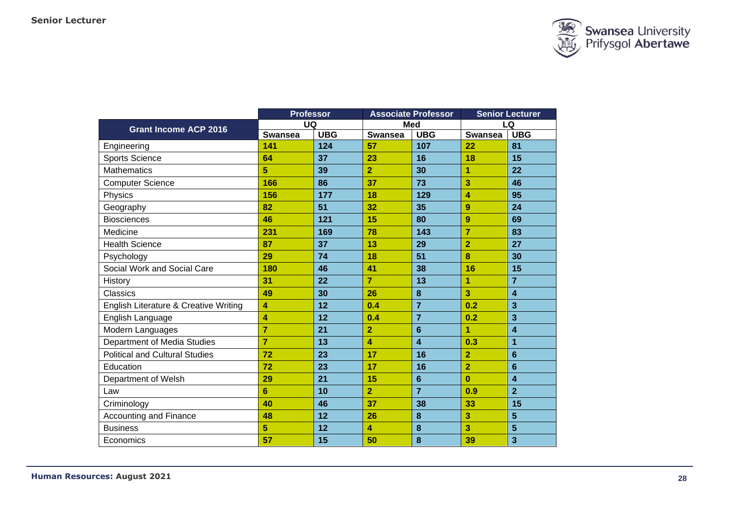

|                                       | <b>Professor</b> |            |                | <b>Associate Professor</b> |                | <b>Senior Lecturer</b>  |
|---------------------------------------|------------------|------------|----------------|----------------------------|----------------|-------------------------|
| <b>Grant Income ACP 2016</b>          | UQ               |            | <b>Med</b>     |                            | LQ             |                         |
|                                       | <b>Swansea</b>   | <b>UBG</b> | <b>Swansea</b> | <b>UBG</b>                 | <b>Swansea</b> | <b>UBG</b>              |
| Engineering                           | 141              | 124        | 57             | 107                        | 22             | 81                      |
| Sports Science                        | 64               | 37         | 23             | 16                         | 18             | 15                      |
| <b>Mathematics</b>                    | 5                | 39         | $\overline{2}$ | 30                         | 1              | 22                      |
| <b>Computer Science</b>               | 166              | 86         | 37             | 73                         | 3              | 46                      |
| Physics                               | 156              | 177        | 18             | 129                        | 4              | 95                      |
| Geography                             | 82               | 51         | 32             | 35                         | 9              | 24                      |
| <b>Biosciences</b>                    | 46               | 121        | 15             | 80                         | 9              | 69                      |
| Medicine                              | 231              | 169        | 78             | 143                        | $\overline{7}$ | 83                      |
| <b>Health Science</b>                 | 87               | 37         | 13             | 29                         | $\overline{2}$ | 27                      |
| Psychology                            | 29               | 74         | 18             | 51                         | 8              | 30                      |
| Social Work and Social Care           | 180              | 46         | 41             | 38                         | 16             | 15                      |
| History                               | 31               | 22         | $\overline{7}$ | 13                         | 1              | $\overline{7}$          |
| <b>Classics</b>                       | 49               | 30         | 26             | 8                          | 3              | $\overline{\mathbf{4}}$ |
| English Literature & Creative Writing | 4                | 12         | 0.4            | $\overline{7}$             | 0.2            | $\overline{3}$          |
| English Language                      | 4                | 12         | 0.4            | $\overline{7}$             | 0.2            | $\overline{\mathbf{3}}$ |
| Modern Languages                      | $\overline{7}$   | 21         | $\overline{2}$ | $6\phantom{1}6$            | 1              | $\overline{\mathbf{4}}$ |
| Department of Media Studies           | $\overline{7}$   | 13         | 4              | $\overline{\mathbf{4}}$    | 0.3            | $\overline{1}$          |
| <b>Political and Cultural Studies</b> | 72               | 23         | 17             | 16                         | $\overline{2}$ | $6\phantom{1}6$         |
| Education                             | 72               | 23         | 17             | 16                         | $\overline{2}$ | $6\phantom{1}6$         |
| Department of Welsh                   | 29               | 21         | 15             | $6\phantom{1}$             | $\mathbf 0$    | $\overline{\mathbf{4}}$ |
| Law                                   | 6                | 10         | $\overline{2}$ | $\overline{7}$             | 0.9            | $\overline{2}$          |
| Criminology                           | 40               | 46         | 37             | 38                         | 33             | 15                      |
| <b>Accounting and Finance</b>         | 48               | 12         | 26             | 8                          | 3              | $5\phantom{1}$          |
| <b>Business</b>                       | 5                | 12         | 4              | 8                          | 3              | 5                       |
| Economics                             | 57               | 15         | 50             | 8                          | 39             | 3                       |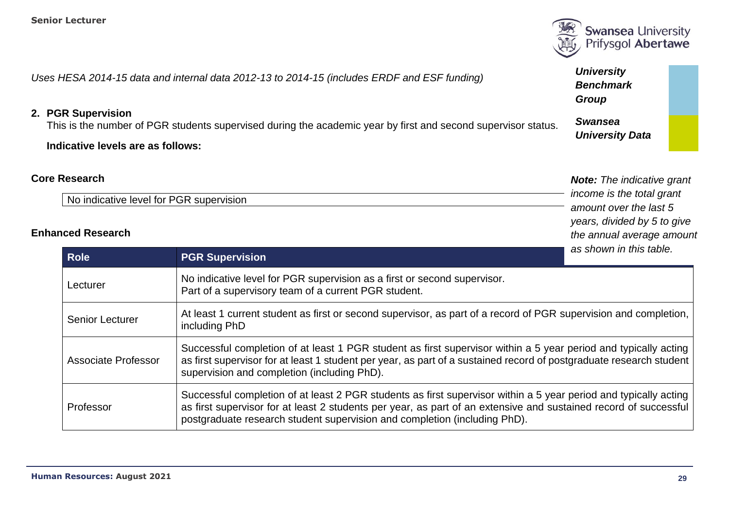

**Swansea University Prifysgol Abertawe**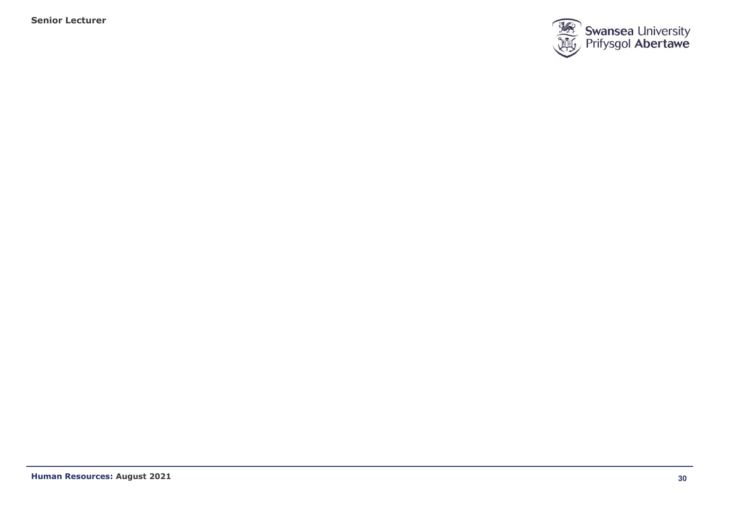**Senior Lecturer**

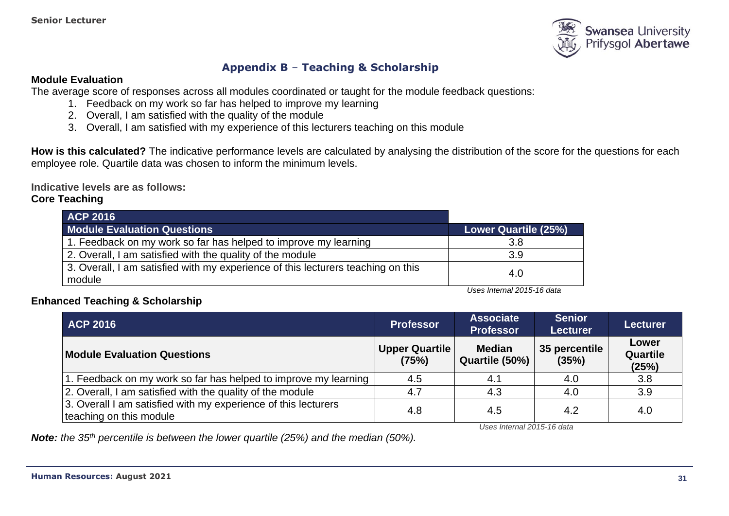

# **Appendix B** – **Teaching & Scholarship**

### **Module Evaluation**

The average score of responses across all modules coordinated or taught for the module feedback questions:

- 1. Feedback on my work so far has helped to improve my learning
- 2. Overall, I am satisfied with the quality of the module
- 3. Overall, I am satisfied with my experience of this lecturers teaching on this module

**How is this calculated?** The indicative performance levels are calculated by analysing the distribution of the score for the questions for each employee role. Quartile data was chosen to inform the minimum levels.

**Indicative levels are as follows:** 

## **Core Teaching**

| <b>ACP 2016</b>                                                                            |                      |
|--------------------------------------------------------------------------------------------|----------------------|
| <b>Module Evaluation Questions</b>                                                         | Lower Quartile (25%) |
| 1. Feedback on my work so far has helped to improve my learning                            | 3.8                  |
| 2. Overall, I am satisfied with the quality of the module                                  | 3.9                  |
| 3. Overall, I am satisfied with my experience of this lecturers teaching on this<br>module | 4.0                  |

*Uses Internal 2015-16 data*

## **Enhanced Teaching & Scholarship**

| <b>ACP 2016</b>                                                                           | <b>Professor</b>               | <b>Associate</b><br><b>Professor</b> | <b>Senior</b><br><b>Lecturer</b> | <b>Lecturer</b>                   |
|-------------------------------------------------------------------------------------------|--------------------------------|--------------------------------------|----------------------------------|-----------------------------------|
| <b>Module Evaluation Questions</b>                                                        | <b>Upper Quartile</b><br>(75%) | <b>Median</b><br>Quartile (50%)      | 35 percentile<br>(35%)           | Lower<br><b>Quartile</b><br>(25%) |
| 1. Feedback on my work so far has helped to improve my learning                           | 4.5                            | 4.1                                  | 4.0                              | 3.8                               |
| 2. Overall, I am satisfied with the quality of the module                                 | 4.7                            | 4.3                                  | 4.0                              | 3.9                               |
| 3. Overall I am satisfied with my experience of this lecturers<br>teaching on this module | 4.8                            | 4.5                                  | 4.2                              | 4.0                               |

*Uses Internal 2015-16 data*

*Note: the 35th percentile is between the lower quartile (25%) and the median (50%).*